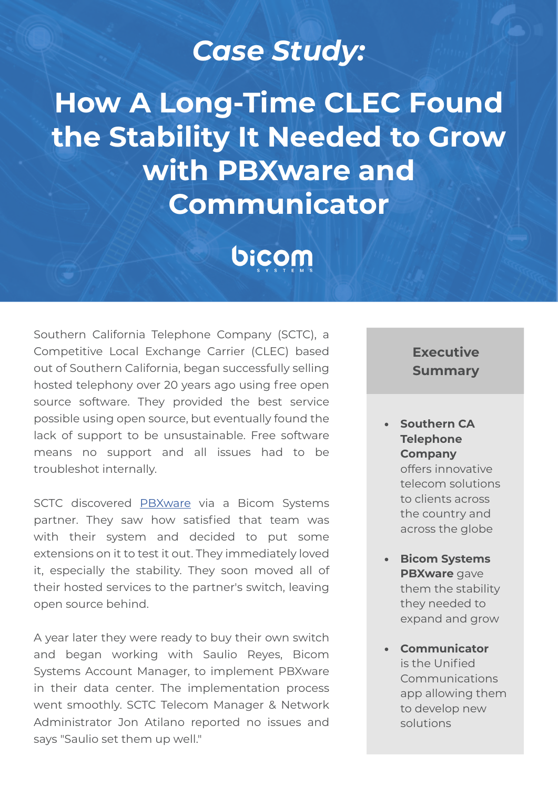# *Case Study:*

**How A Long-Time CLEC Found the Stability It Needed to Grow with PBXware and Communicator**

# bicom

Southern California Telephone Company (SCTC), a Competitive Local Exchange Carrier (CLEC) based out of Southern California, began successfully selling hosted telephony over 20 years ago using free open source software. They provided the best service possible using open source, but eventually found the lack of support to be unsustainable. Free software means no support and all issues had to be troubleshot internally.

SCTC discovered [PBXware](https://www.bicomsystems.com/products/pbxware/) via a Bicom Systems partner. They saw how satisfied that team was with their system and decided to put some extensions on it to test it out. They immediately loved it, especially the stability. They soon moved all of their hosted services to the partner's switch, leaving open source behind.

A year later they were ready to buy their own switch and began working with Saulio Reyes, Bicom Systems Account Manager, to implement PBXware in their data center. The implementation process went smoothly. SCTC Telecom Manager & Network Administrator Jon Atilano reported no issues and says "Saulio set them up well."

## **Executive Summary**

**• Southern CA Telephone Company**  offers innovative telecom solutions to clients across the country and across the globe

- **• Bicom Systems PBXware** gave them the stability they needed to expand and grow
- **• Communicator** is the Unified Communications app allowing them to develop new solutions